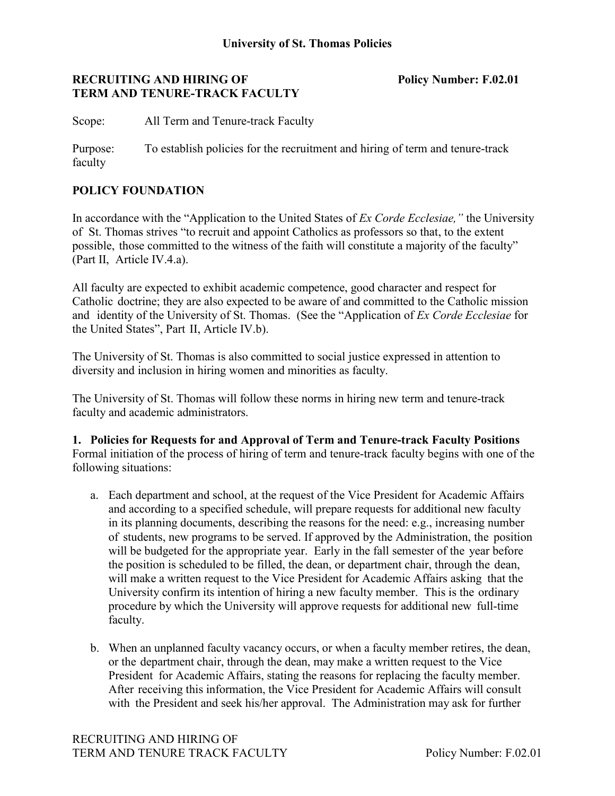# **RECRUITING AND HIRING OF Policy Number: F.02.01 TERM AND TENURE-TRACK FACULTY**

Scope: All Term and Tenure-track Faculty

Purpose: To establish policies for the recruitment and hiring of term and tenure-track faculty

# **POLICY FOUNDATION**

In accordance with the "Application to the United States of *Ex Corde Ecclesiae,"* the University of St. Thomas strives "to recruit and appoint Catholics as professors so that, to the extent possible, those committed to the witness of the faith will constitute a majority of the faculty" (Part II, Article IV.4.a).

All faculty are expected to exhibit academic competence, good character and respect for Catholic doctrine; they are also expected to be aware of and committed to the Catholic mission and identity of the University of St. Thomas. (See the "Application of *Ex Corde Ecclesiae* for the United States", Part II, Article IV.b).

The University of St. Thomas is also committed to social justice expressed in attention to diversity and inclusion in hiring women and minorities as faculty.

The University of St. Thomas will follow these norms in hiring new term and tenure-track faculty and academic administrators.

**1. Policies for Requests for and Approval of Term and Tenure-track Faculty Positions** Formal initiation of the process of hiring of term and tenure-track faculty begins with one of the following situations:

- a. Each department and school, at the request of the Vice President for Academic Affairs and according to a specified schedule, will prepare requests for additional new faculty in its planning documents, describing the reasons for the need: e.g., increasing number of students, new programs to be served. If approved by the Administration, the position will be budgeted for the appropriate year. Early in the fall semester of the year before the position is scheduled to be filled, the dean, or department chair, through the dean, will make a written request to the Vice President for Academic Affairs asking that the University confirm its intention of hiring a new faculty member. This is the ordinary procedure by which the University will approve requests for additional new full-time faculty.
- b. When an unplanned faculty vacancy occurs, or when a faculty member retires, the dean, or the department chair, through the dean, may make a written request to the Vice President for Academic Affairs, stating the reasons for replacing the faculty member. After receiving this information, the Vice President for Academic Affairs will consult with the President and seek his/her approval. The Administration may ask for further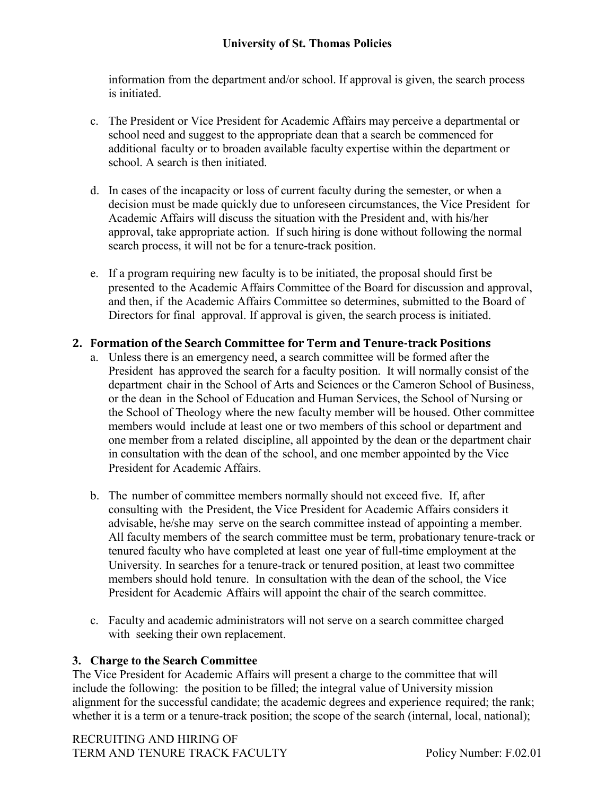# **University of St. Thomas Policies**

information from the department and/or school. If approval is given, the search process is initiated.

- c. The President or Vice President for Academic Affairs may perceive a departmental or school need and suggest to the appropriate dean that a search be commenced for additional faculty or to broaden available faculty expertise within the department or school. A search is then initiated.
- d. In cases of the incapacity or loss of current faculty during the semester, or when a decision must be made quickly due to unforeseen circumstances, the Vice President for Academic Affairs will discuss the situation with the President and, with his/her approval, take appropriate action. If such hiring is done without following the normal search process, it will not be for a tenure-track position.
- e. If a program requiring new faculty is to be initiated, the proposal should first be presented to the Academic Affairs Committee of the Board for discussion and approval, and then, if the Academic Affairs Committee so determines, submitted to the Board of Directors for final approval. If approval is given, the search process is initiated.

# **2. Formation of the Search Committee for Term and Tenure-track Positions**

- a. Unless there is an emergency need, a search committee will be formed after the President has approved the search for a faculty position. It will normally consist of the department chair in the School of Arts and Sciences or the Cameron School of Business, or the dean in the School of Education and Human Services, the School of Nursing or the School of Theology where the new faculty member will be housed. Other committee members would include at least one or two members of this school or department and one member from a related discipline, all appointed by the dean or the department chair in consultation with the dean of the school, and one member appointed by the Vice President for Academic Affairs.
- b. The number of committee members normally should not exceed five. If, after consulting with the President, the Vice President for Academic Affairs considers it advisable, he/she may serve on the search committee instead of appointing a member. All faculty members of the search committee must be term, probationary tenure-track or tenured faculty who have completed at least one year of full-time employment at the University. In searches for a tenure-track or tenured position, at least two committee members should hold tenure. In consultation with the dean of the school, the Vice President for Academic Affairs will appoint the chair of the search committee.
- c. Faculty and academic administrators will not serve on a search committee charged with seeking their own replacement.

#### **3. Charge to the Search Committee**

The Vice President for Academic Affairs will present a charge to the committee that will include the following: the position to be filled; the integral value of University mission alignment for the successful candidate; the academic degrees and experience required; the rank; whether it is a term or a tenure-track position; the scope of the search (internal, local, national);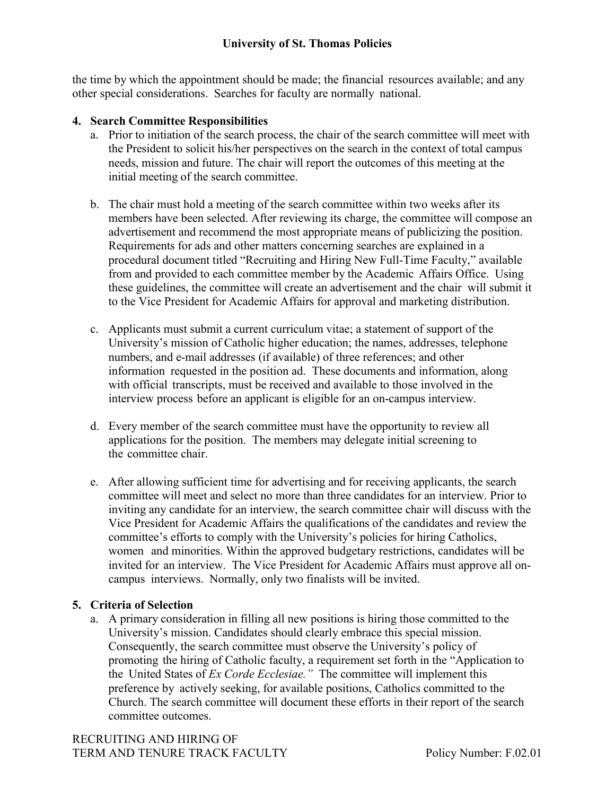the time by which the appointment should be made; the financial resources available; and any other special considerations. Searches for faculty are normally national.

# **4. Search Committee Responsibilities**

- a. Prior to initiation of the search process, the chair of the search committee will meet with the President to solicit his/her perspectives on the search in the context of total campus needs, mission and future. The chair will report the outcomes of this meeting at the initial meeting of the search committee.
- b. The chair must hold a meeting of the search committee within two weeks after its members have been selected. After reviewing its charge, the committee will compose an advertisement and recommend the most appropriate means of publicizing the position. Requirements for ads and other matters concerning searches are explained in a procedural document titled "Recruiting and Hiring New Full-Time Faculty," available from and provided to each committee member by the Academic Affairs Office. Using these guidelines, the committee will create an advertisement and the chair will submit it to the Vice President for Academic Affairs for approval and marketing distribution.
- c. Applicants must submit a current curriculum vitae; a statement of support of the University's mission of Catholic higher education; the names, addresses, telephone numbers, and e-mail addresses (if available) of three references; and other information requested in the position ad. These documents and information, along with official transcripts, must be received and available to those involved in the interview process before an applicant is eligible for an on-campus interview.
- d. Every member of the search committee must have the opportunity to review all applications for the position. The members may delegate initial screening to the committee chair.
- e. After allowing sufficient time for advertising and for receiving applicants, the search committee will meet and select no more than three candidates for an interview. Prior to inviting any candidate for an interview, the search committee chair will discuss with the Vice President for Academic Affairs the qualifications of the candidates and review the committee's efforts to comply with the University's policies for hiring Catholics, women and minorities. Within the approved budgetary restrictions, candidates will be invited for an interview. The Vice President for Academic Affairs must approve all oncampus interviews. Normally, only two finalists will be invited.

# **5. Criteria of Selection**

a. A primary consideration in filling all new positions is hiring those committed to the University's mission. Candidates should clearly embrace this special mission. Consequently, the search committee must observe the University's policy of promoting the hiring of Catholic faculty, a requirement set forth in the "Application to the United States of *Ex Corde Ecclesiae."* The committee will implement this preference by actively seeking, for available positions, Catholics committed to the Church. The search committee will document these efforts in their report of the search committee outcomes.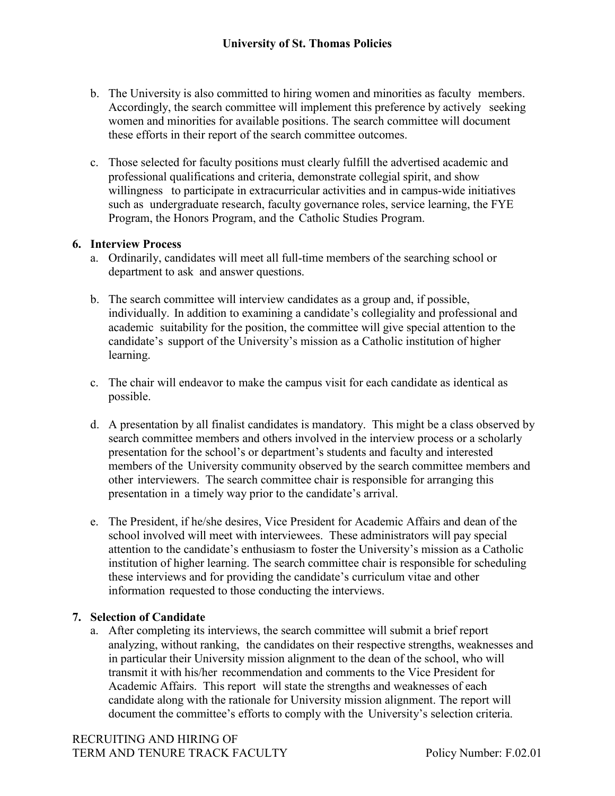- b. The University is also committed to hiring women and minorities as faculty members. Accordingly, the search committee will implement this preference by actively seeking women and minorities for available positions. The search committee will document these efforts in their report of the search committee outcomes.
- c. Those selected for faculty positions must clearly fulfill the advertised academic and professional qualifications and criteria, demonstrate collegial spirit, and show willingness to participate in extracurricular activities and in campus-wide initiatives such as undergraduate research, faculty governance roles, service learning, the FYE Program, the Honors Program, and the Catholic Studies Program.

# **6. Interview Process**

- a. Ordinarily, candidates will meet all full-time members of the searching school or department to ask and answer questions.
- b. The search committee will interview candidates as a group and, if possible, individually. In addition to examining a candidate's collegiality and professional and academic suitability for the position, the committee will give special attention to the candidate's support of the University's mission as a Catholic institution of higher learning.
- c. The chair will endeavor to make the campus visit for each candidate as identical as possible.
- d. A presentation by all finalist candidates is mandatory. This might be a class observed by search committee members and others involved in the interview process or a scholarly presentation for the school's or department's students and faculty and interested members of the University community observed by the search committee members and other interviewers. The search committee chair is responsible for arranging this presentation in a timely way prior to the candidate's arrival.
- e. The President, if he/she desires, Vice President for Academic Affairs and dean of the school involved will meet with interviewees. These administrators will pay special attention to the candidate's enthusiasm to foster the University's mission as a Catholic institution of higher learning. The search committee chair is responsible for scheduling these interviews and for providing the candidate's curriculum vitae and other information requested to those conducting the interviews.

# **7. Selection of Candidate**

a. After completing its interviews, the search committee will submit a brief report analyzing, without ranking, the candidates on their respective strengths, weaknesses and in particular their University mission alignment to the dean of the school, who will transmit it with his/her recommendation and comments to the Vice President for Academic Affairs. This report will state the strengths and weaknesses of each candidate along with the rationale for University mission alignment. The report will document the committee's efforts to comply with the University's selection criteria.